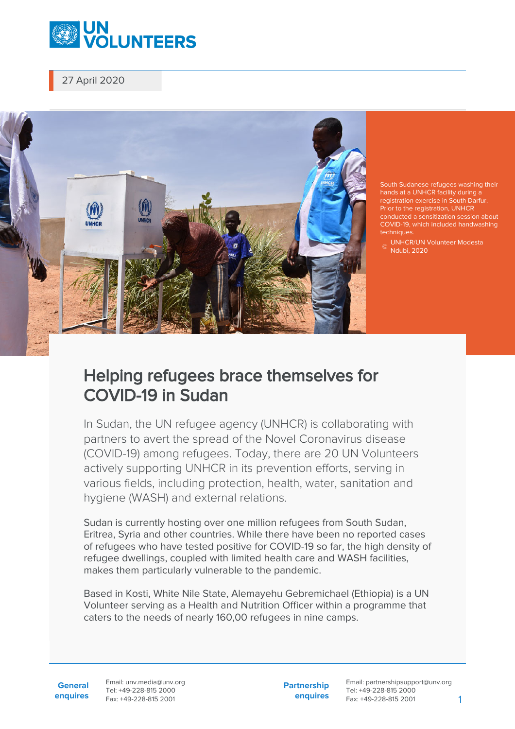

27 April 2020



South Sudanese refugees washing their hands at a UNHCR facility during a registration exercise in South Darfur. Prior to the registration, UNHCR conducted a sensitization session about COVID-19, which included handwashing techniques

© Ndubi, 2020 UNHCR/UN Volunteer Modesta

## Helping refugees brace themselves for COVID-19 in Sudan

In Sudan, the UN refugee agency (UNHCR) is collaborating with partners to avert the spread of the Novel Coronavirus disease (COVID-19) among refugees. Today, there are 20 UN Volunteers actively supporting UNHCR in its prevention efforts, serving in various fields, including protection, health, water, sanitation and hygiene (WASH) and external relations.

Sudan is currently hosting over one million refugees from South Sudan, Eritrea, Syria and other countries. While there have been no reported cases of refugees who have tested positive for COVID-19 so far, the high density of refugee dwellings, coupled with limited health care and WASH facilities, makes them particularly vulnerable to the pandemic.

Based in Kosti, White Nile State, Alemayehu Gebremichael (Ethiopia) is a UN Volunteer serving as a Health and Nutrition Officer within a programme that caters to the needs of nearly 160,00 refugees in nine camps.

**General enquires** Email: unv.media@unv.org Tel: +49-228-815 2000 Fax: +49-228-815 2001

**Partnership enquires**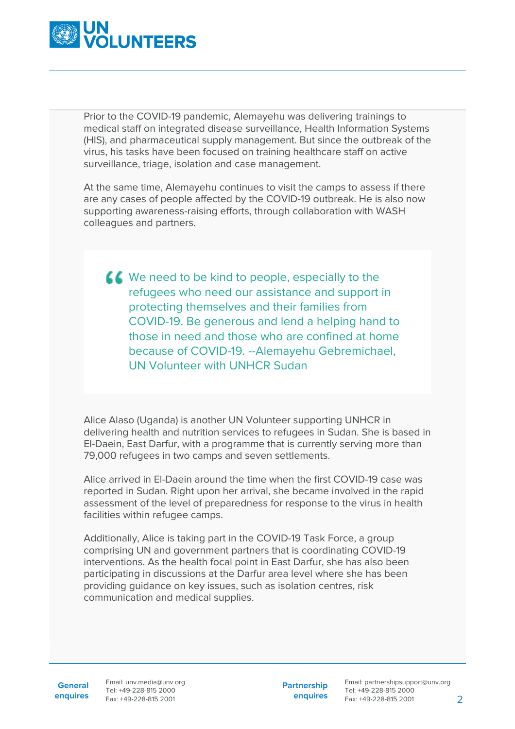

Prior to the COVID-19 pandemic, Alemayehu was delivering trainings to medical staff on integrated disease surveillance, Health Information Systems (HIS), and pharmaceutical supply management. But since the outbreak of the virus, his tasks have been focused on training healthcare staff on active surveillance, triage, isolation and case management.

At the same time, Alemayehu continues to visit the camps to assess if there are any cases of people affected by the COVID-19 outbreak. He is also now supporting awareness-raising efforts, through collaboration with WASH colleagues and partners.

K We need to be kind to people, especially to the refugees who need our assistance and support in protecting themselves and their families from COVID-19. Be generous and lend a helping hand to those in need and those who are confined at home because of COVID-19. --Alemayehu Gebremichael, UN Volunteer with UNHCR Sudan

Alice Alaso (Uganda) is another UN Volunteer supporting UNHCR in delivering health and nutrition services to refugees in Sudan. She is based in El-Daein, East Darfur, with a programme that is currently serving more than 79,000 refugees in two camps and seven settlements.

Alice arrived in El-Daein around the time when the first COVID-19 case was reported in Sudan. Right upon her arrival, she became involved in the rapid assessment of the level of preparedness for response to the virus in health facilities within refugee camps.

Additionally, Alice is taking part in the COVID-19 Task Force, a group comprising UN and government partners that is coordinating COVID-19 interventions. As the health focal point in East Darfur, she has also been participating in discussions at the Darfur area level where she has been providing guidance on key issues, such as isolation centres, risk communication and medical supplies.

**General**

**enquires** Fax: +49-228-815 2001 Email: unv.media@unv.org Tel: +49-228-815 2000

**Partnership enquires**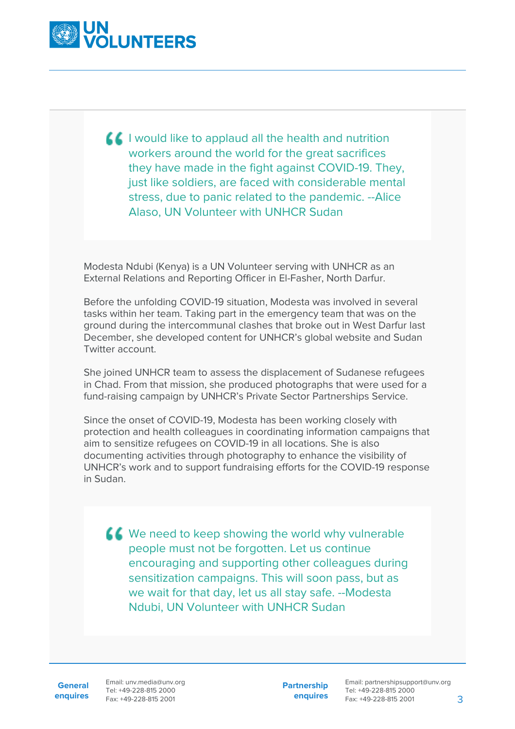

 $\blacksquare$  I would like to applaud all the health and nutrition workers around the world for the great sacrifices they have made in the fight against COVID-19. They, just like soldiers, are faced with considerable mental stress, due to panic related to the pandemic. --Alice Alaso, UN Volunteer with UNHCR Sudan

Modesta Ndubi (Kenya) is a UN Volunteer serving with UNHCR as an External Relations and Reporting Officer in El-Fasher, North Darfur.

Before the unfolding COVID-19 situation, Modesta was involved in several tasks within her team. Taking part in the emergency team that was on the ground during the intercommunal clashes that broke out in West Darfur last December, she developed content for UNHCR's global website and Sudan Twitter account.

She joined UNHCR team to assess the displacement of Sudanese refugees in Chad. From that mission, she produced photographs that were used for a fund-raising campaign by UNHCR's Private Sector Partnerships Service.

Since the onset of COVID-19, Modesta has been working closely with protection and health colleagues in coordinating information campaigns that aim to sensitize refugees on COVID-19 in all locations. She is also documenting activities through photography to enhance the visibility of UNHCR's work and to support fundraising efforts for the COVID-19 response in Sudan.

K We need to keep showing the world why vulnerable people must not be forgotten. Let us continue encouraging and supporting other colleagues during sensitization campaigns. This will soon pass, but as we wait for that day, let us all stay safe. --Modesta Ndubi, UN Volunteer with UNHCR Sudan

**General**

**enquires** Fax: +49-228-815 2001 Email: unv.media@unv.org Tel: +49-228-815 2000

**Partnership enquires**